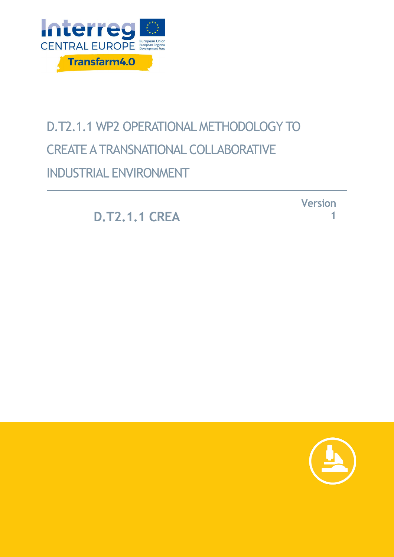

# D.T2.1.1 WP2 OPERATIONAL METHODOLOGY TO CREATE A TRANSNATIONAL COLLABORATIVE INDUSTRIAL ENVIRONMENT

**D.T2.1.1 CREA**

**Version 1**

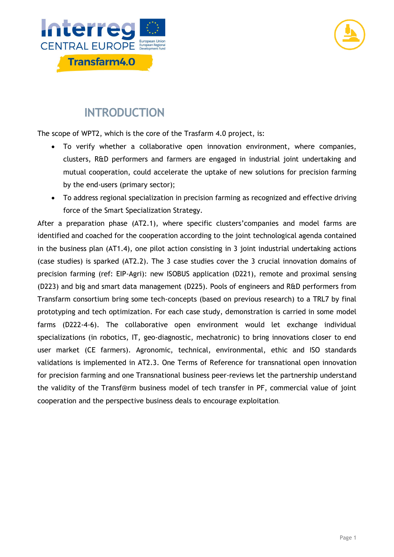



#### **INTRODUCTION**

The scope of WPT2, which is the core of the Trasfarm 4.0 project, is:

- To verify whether a collaborative open innovation environment, where companies, clusters, R&D performers and farmers are engaged in industrial joint undertaking and mutual cooperation, could accelerate the uptake of new solutions for precision farming by the end-users (primary sector);
- To address regional specialization in precision farming as recognized and effective driving force of the Smart Specialization Strategy.

After a preparation phase (AT2.1), where specific clusters'companies and model farms are identified and coached for the cooperation according to the joint technological agenda contained in the business plan (AT1.4), one pilot action consisting in 3 joint industrial undertaking actions (case studies) is sparked (AT2.2). The 3 case studies cover the 3 crucial innovation domains of precision farming (ref: EIP-Agri): new ISOBUS application (D221), remote and proximal sensing (D223) and big and smart data management (D225). Pools of engineers and R&D performers from Transfarm consortium bring some tech-concepts (based on previous research) to a TRL7 by final prototyping and tech optimization. For each case study, demonstration is carried in some model farms (D222-4-6). The collaborative open environment would let exchange individual specializations (in robotics, IT, geo-diagnostic, mechatronic) to bring innovations closer to end user market (CE farmers). Agronomic, technical, environmental, ethic and ISO standards validations is implemented in AT2.3. One Terms of Reference for transnational open innovation for precision farming and one Transnational business peer-reviews let the partnership understand the validity of the Transf@rm business model of tech transfer in PF, commercial value of joint cooperation and the perspective business deals to encourage exploitation.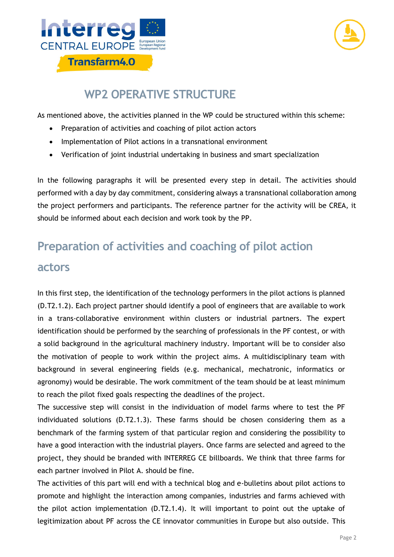



#### **WP2 OPERATIVE STRUCTURE**

As mentioned above, the activities planned in the WP could be structured within this scheme:

- Preparation of activities and coaching of pilot action actors
- Implementation of Pilot actions in a transnational environment
- Verification of joint industrial undertaking in business and smart specialization

In the following paragraphs it will be presented every step in detail. The activities should performed with a day by day commitment, considering always a transnational collaboration among the project performers and participants. The reference partner for the activity will be CREA, it should be informed about each decision and work took by the PP.

### **Preparation of activities and coaching of pilot action actors**

#### In this first step, the identification of the technology performers in the pilot actions is planned (D.T2.1.2). Each project partner should identify a pool of engineers that are available to work in a trans-collaborative environment within clusters or industrial partners. The expert identification should be performed by the searching of professionals in the PF contest, or with a solid background in the agricultural machinery industry. Important will be to consider also the motivation of people to work within the project aims. A multidisciplinary team with background in several engineering fields (e.g. mechanical, mechatronic, informatics or agronomy) would be desirable. The work commitment of the team should be at least minimum to reach the pilot fixed goals respecting the deadlines of the project.

The successive step will consist in the individuation of model farms where to test the PF individuated solutions (D.T2.1.3). These farms should be chosen considering them as a benchmark of the farming system of that particular region and considering the possibility to have a good interaction with the industrial players. Once farms are selected and agreed to the project, they should be branded with INTERREG CE billboards. We think that three farms for each partner involved in Pilot A. should be fine.

The activities of this part will end with a technical blog and e-bulletins about pilot actions to promote and highlight the interaction among companies, industries and farms achieved with the pilot action implementation (D.T2.1.4). It will important to point out the uptake of legitimization about PF across the CE innovator communities in Europe but also outside. This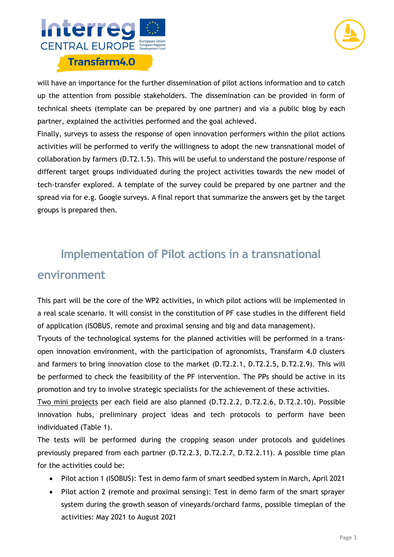



will have an importance for the further dissemination of pilot actions information and to catch up the attention from possible stakeholders. The dissemination can be provided in form of technical sheets (template can be prepared by one partner) and via a public blog by each partner, explained the activities performed and the goal achieved.

Finally, surveys to assess the response of open innovation performers within the pilot actions activities will be performed to verify the willingness to adopt the new transnational model of collaboration by farmers (D.T2.1.5). This will be useful to understand the posture/response of different target groups individuated during the project activities towards the new model of tech-transfer explored. A template of the survey could be prepared by one partner and the spread via for e.g. Google surveys. A final report that summarize the answers get by the target groups is prepared then.

# **Implementation of Pilot actions in a transnational environment**

This part will be the core of the WP2 activities, in which pilot actions will be implemented in a real scale scenario. It will consist in the constitution of PF case studies in the different field of application (ISOBUS, remote and proximal sensing and big and data management).

Tryouts of the technological systems for the planned activities will be performed in a transopen innovation environment, with the participation of agronomists, Transfarm 4.0 clusters and farmers to bring innovation close to the market (D.T2.2.1, D.T2.2.5, D.T2.2.9). This will be performed to check the feasibility of the PF intervention. The PPs should be active in its promotion and try to involve strategic specialists for the achievement of these activities.

Two mini projects per each field are also planned (D.T2.2.2, D.T2.2.6, D.T2.2.10). Possible innovation hubs, preliminary project ideas and tech protocols to perform have been individuated (Table 1).

The tests will be performed during the cropping season under protocols and guidelines previously prepared from each partner (D.T2.2.3, D.T2.2.7, D.T2.2.11). A possible time plan for the activities could be:

- Pilot action 1 (ISOBUS): Test in demo farm of smart seedbed system in March, April 2021
- Pilot action 2 (remote and proximal sensing): Test in demo farm of the smart sprayer system during the growth season of vineyards/orchard farms, possible timeplan of the activities: May 2021 to August 2021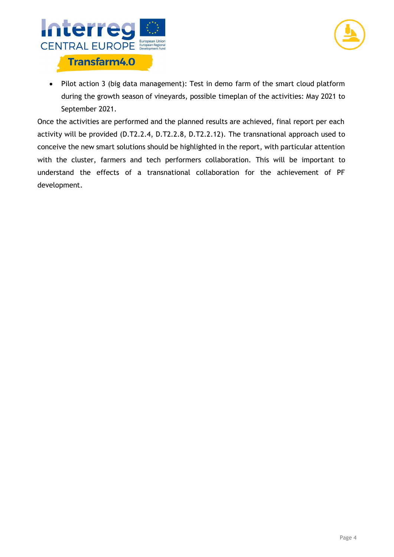



• Pilot action 3 (big data management): Test in demo farm of the smart cloud platform during the growth season of vineyards, possible timeplan of the activities: May 2021 to September 2021.

Once the activities are performed and the planned results are achieved, final report per each activity will be provided (D.T2.2.4, D.T2.2.8, D.T2.2.12). The transnational approach used to conceive the new smart solutions should be highlighted in the report, with particular attention with the cluster, farmers and tech performers collaboration. This will be important to understand the effects of a transnational collaboration for the achievement of PF development.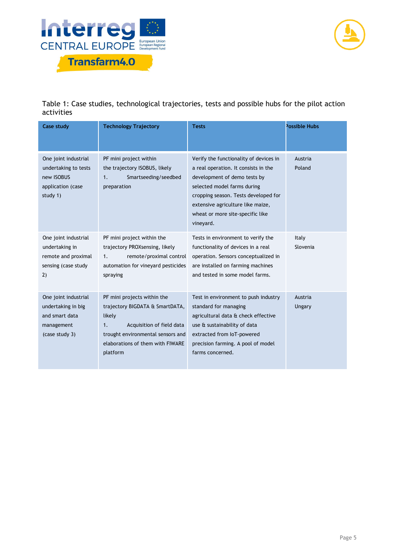



Table 1: Case studies, technological trajectories, tests and possible hubs for the pilot action activities

| <b>Case study</b>                                                                            | <b>Technology Trajectory</b>                                                                                                                                                                     | <b>Tests</b>                                                                                                                                                                                                                                                                | Possible Hubs     |
|----------------------------------------------------------------------------------------------|--------------------------------------------------------------------------------------------------------------------------------------------------------------------------------------------------|-----------------------------------------------------------------------------------------------------------------------------------------------------------------------------------------------------------------------------------------------------------------------------|-------------------|
| One joint industrial<br>undertaking to tests<br>new ISOBUS<br>application (case<br>study 1)  | PF mini project within<br>the trajectory ISOBUS, likely<br>Smartseeding/seedbed<br>1.<br>preparation                                                                                             | Verify the functionality of devices in<br>a real operation. It consists in the<br>development of demo tests by<br>selected model farms during<br>cropping season. Tests developed for<br>extensive agriculture like maize,<br>wheat or more site-specific like<br>vineyard. | Austria<br>Poland |
| One joint industrial<br>undertaking in<br>remote and proximal<br>sensing (case study<br>2)   | PF mini project within the<br>trajectory PROXsensing, likely<br>remote/proximal control<br>1.<br>automation for vineyard pesticides<br>spraying                                                  | Tests in environment to verify the<br>functionality of devices in a real<br>operation. Sensors conceptualized in<br>are installed on farming machines<br>and tested in some model farms.                                                                                    | Italy<br>Slovenia |
| One joint industrial<br>undertaking in big<br>and smart data<br>management<br>(case study 3) | PF mini projects within the<br>trajectory BIGDATA & SmartDATA,<br>likely<br>Acquisition of field data<br>1.<br>trought environmental sensors and<br>elaborations of them with FIWARE<br>platform | Test in environment to push industry<br>standard for managing<br>agricultural data & check effective<br>use & sustainability of data<br>extracted from IoT-powered<br>precision farming. A pool of model<br>farms concerned.                                                | Austria<br>Ungary |